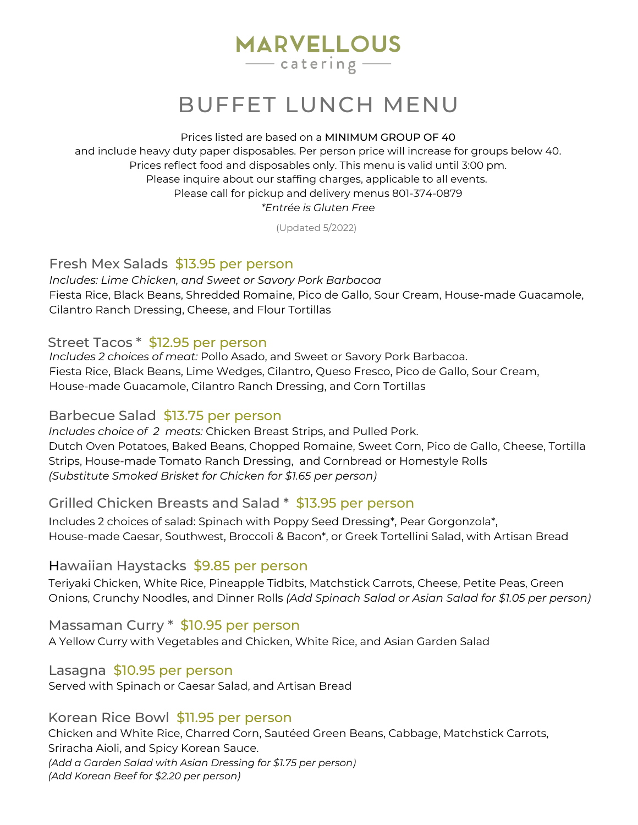# **MARVELLOUS**  $\frac{1}{2}$  catering –

# BUFFET LUNCH MENU

#### Prices listed are based on a MINIMUM GROUP OF 40

and include heavy duty paper disposables. Per person price will increase for groups below 40. Prices reflect food and disposables only. This menu is valid until 3:00 pm. Please inquire about our staffing charges, applicable to all events. Please call for pickup and delivery menus 801-374-0879 *\*Entrée is Gluten Free*

(Updated 5/2022)

## Fresh Mex Salads \$13.95 per person

*Includes: Lime Chicken, and Sweet or Savory Pork Barbacoa* Fiesta Rice, Black Beans, Shredded Romaine, Pico de Gallo, Sour Cream, House-made Guacamole, Cilantro Ranch Dressing, Cheese, and Flour Tortillas

#### Street Tacos \* \$12.95 per person

*Includes 2 choices of meat:* Pollo Asado, and Sweet or Savory Pork Barbacoa. Fiesta Rice, Black Beans, Lime Wedges, Cilantro, Queso Fresco, Pico de Gallo, Sour Cream, House-made Guacamole, Cilantro Ranch Dressing, and Corn Tortillas

#### Barbecue Salad \$13.75 per person

*Includes choice of 2 meats:* Chicken Breast Strips, and Pulled Pork. Dutch Oven Potatoes, Baked Beans, Chopped Romaine, Sweet Corn, Pico de Gallo, Cheese, Tortilla Strips, House-made Tomato Ranch Dressing, and Cornbread or Homestyle Rolls *(Substitute Smoked Brisket for Chicken for \$1.65 per person)*

## Grilled Chicken Breasts and Salad \* \$13.95 per person

Includes 2 choices of salad: Spinach with Poppy Seed Dressing\*, Pear Gorgonzola\*, House-made Caesar, Southwest, Broccoli & Bacon\*, or Greek Tortellini Salad, with Artisan Bread

#### Hawaiian Haystacks \$9.85 per person

Teriyaki Chicken, White Rice, Pineapple Tidbits, Matchstick Carrots, Cheese, Petite Peas, Green Onions, Crunchy Noodles, and Dinner Rolls *(Add Spinach Salad or Asian Salad for \$1.05 per person)*

Massaman Curry \* \$10.95 per person

A Yellow Curry with Vegetables and Chicken, White Rice, and Asian Garden Salad

#### Lasagna \$10.95 per person

Served with Spinach or Caesar Salad, and Artisan Bread

#### Korean Rice Bowl \$11.95 per person

Chicken and White Rice, Charred Corn, Sautéed Green Beans, Cabbage, Matchstick Carrots, Sriracha Aioli, and Spicy Korean Sauce. *(Add a Garden Salad with Asian Dressing for \$1.75 per person) (Add Korean Beef for \$2.20 per person)*